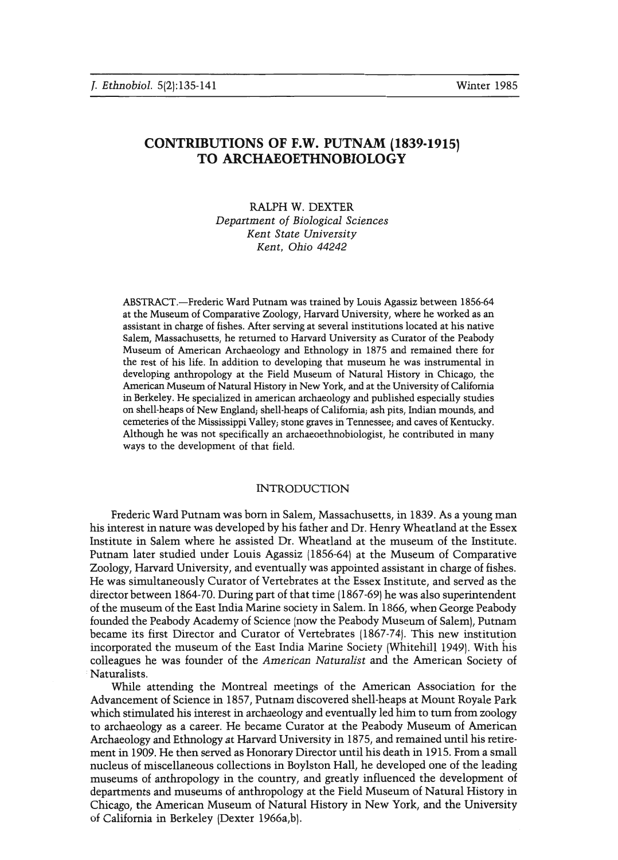# **CONTRIBUTIONS OF F.W. PUTNAM (1839-1915) TO ARCHAEOETHNOBIOLOGY**

# RALPH W. DEXTER *Department of Biological Sciences Kent State University Kent, Ohio 44242*

ABSTRACT.-Frederic Ward Putnam was trained by Louis Agassiz between 1856-64 at the Museum of Comparative Zoology, Harvard University, where he worked as an assistant in charge of fishes. After serving at several institutions located at his native Salem, Massachusetts, he returned to Harvard University as Curator of the Peabody Museum of American Archaeology and Ethnology in 1875 and remained there for the rest of his life. In addition to developing that museum he was instrumental in developing anthropology at the Field Museum of Natural History in Chicago, the American Museum of Natural History in New York, and at the University of California in Berkeley. He specialized in american archaeology and published especially studies on shell-heaps of New England; shell-heaps of California; ash pits, Indian mounds, and cemeteries of the Mississippi Valley; stone gravesin Tennessee; and caves of Kentucky. Although he was not specifically an archaeoethnobiologist, he contributed in many ways to the development of that field.

# INTRODUCTION

Frederic Ward Putnam was born in Salem, Massachusetts, in 1839. As a young man his interest in nature was developed by his father and Dr. Henry Wheatland at the Essex Institute in Salem where he assisted Dr. Wheatland at the museum of the Institute. Putnam later studied under Louis Agassiz (1856-64) at the Museum of Comparative Zoology, Harvard University, and eventually was appointed assistant in charge of fishes. He was simultaneously Curator of Vertebrates at the Essex Institute, and served as the director between 1864-70. During part of that time (1867-69) he was also superintendent of the museum of the East India Marine society in Salem. In 1866, when George Peabody founded the Peabody Academy of Science (now the Peabody Museum of Salem), Putnam became its first Director and Curator of Vertebrates (1867-74). This new institution incorporated the museum of the East India Marine Society (Whitehill 1949). With his colleagues he was founder of the *American Naturalist* and the American Society of Naturalists.

While attending the Montreal meetings of the American Association for the Advancement of Science in 1857, Putnam discovered shell-heaps at Mount Royale Park which stimulated his interest in archaeology and eventually led him to tum from zoology to archaeology as a career. He became Curator at the Peabody Museum of American Archaeology and Ethnology at Harvard University in 1875, and remained until his retirement in 1909. He then served as Honorary Director until his death in 1915. From a small nucleus of miscellaneous collections in Boylston Hall, he developed one of the leading museums of anthropology in the country, and greatly influenced the development of departments and museums of anthropology at the Field Museum of Natural History in Chicago, the American Museum of Natural History in New York, and the University of California in Berkeley (Dexter 1966a,b).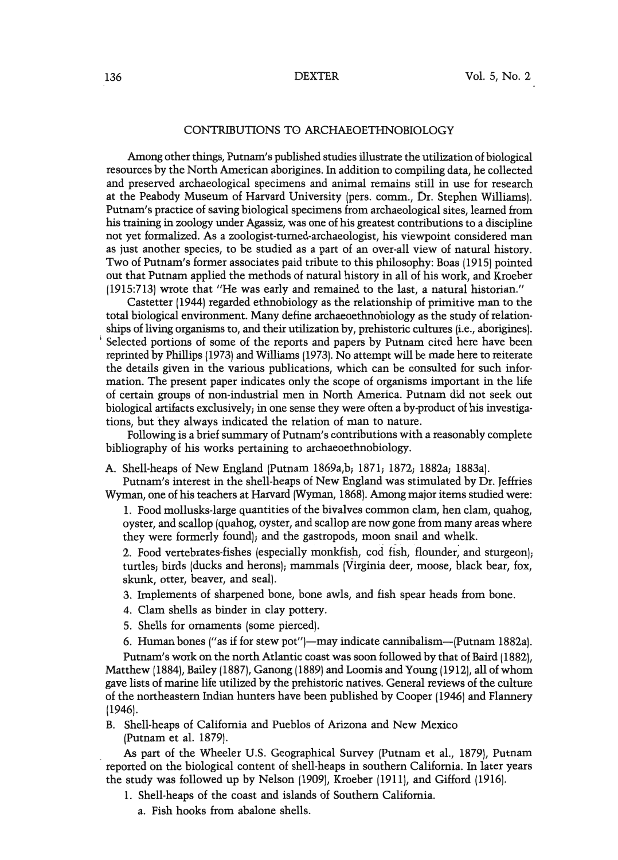#### CONTRIBUTIONS TO ARCHAEOETHNOBIOLOGY

Among other things, Putnam's published studies illustrate the utilization of biological resources by the North American aborigines. In addition to compiling data, he collected and preserved archaeological specimens and animal remains still in use for research at the Peabody Museum of Harvard University (pers. comm., Dr. Stephen Williams). Putnam's practice of saving biological specimens from archaeological sites, learned from his training in zoology under Agassiz, was one of his greatest contributions to a discipline not yet formalized. As a zoologist-turned-archaeologist, his viewpoint considered man as just another species, to be studied as a part of an over-all view of natural history. Two of Putnam's former associates paid tribute to this philosophy: Boas (1915) pointed out that Putnam applied the methods of natural history in all of his work, and Kroeber (1915:713) wrote that "He was early and remained to the last, a natural historian."

Castetter (1944) regarded ethnobiology as the relationship of primitive man to the total biological environment. Many define archaeoethnobiology as the study of relationships of living organisms to, and their utilization by, prehistoric cultures [i.e., aborigines). Selected portions of some of the reports and papers by Putnam cited here have been reprinted by Phillips (1973) and Williams (1973). No attempt will be made here to reiterate the details given in the various publications, which can be consulted for such information. The present paper indicates only the scope of organisms important in the life of certain groups of non-industrial men in North America. Putnam did not seek out biological artifacts exclusively; in one sense they were often a by-product of his investigations, but 'they always indicated the relation of man to nature.

Following is a brief summary of Putnam's contributions with a reasonably complete bibliography of his works pertaining to archaeoethnobiology.

A. Shell-heaps of New England (Putnam 1869a,b; 1871; 1872; 1882a; 1883a).

Putnam's interest in the shell-heaps of New England was stimulated by Dr. Jeffries Wyman, one of his teachers at Harvard (Wyman, 1868). Among major items studied were:

1. Food mollusks-large quantities of the bivalves common clam, hen clam, quahog, oyster, and scallop (quahog, oyster, and scallop are now gone from many areas where they were formerly found); and the gastropods, moon snail and whelk.

2. Food vertebrates-fishes (especially monkfish, cod fish, flounder; and sturgeon); turtles; birds (ducks and herons); mammals (Virginia deer, moose, black bear, fox, skunk, otter, beaver, and seal).

- 3. Implements of sharpened bone, bone awls, and fish spear heads from bone.
- 4. Clam shells as binder in clay pottery.
- 5. Shells for ornaments (some pierced).
- 6. Human bones ("as if for stew pot")-may indicate cannibalism-(Putnam 1882a).

Putnam's work on the north Atlantic coast was soon followed by that of Baird (1882), Matthew (1884), Bailey (1887), Ganong (1889) and Loomis and Young (1912), all ofwhom gave lists of marine life utilized by the prehistoric natives. General reviews of the culture of the northeastern Indian hunters have been published by Cooper (1946) and Flannery (1946).

B. Shell-heaps of California and Pueblos of Arizona and New Mexico (Putnam et al. 1879).

As part of the Wheeler U.S. Geographical Survey (Putnam et al., 1879), Putnam reported on the biological content of shell-heaps in southern California. In later years the study was followed up by Nelson (1909), Kroeber (1911), and Gifford (1916).

- 1. Shell-heaps of the coast and islands of Southern California.
	- a. Fish hooks from abalone shells.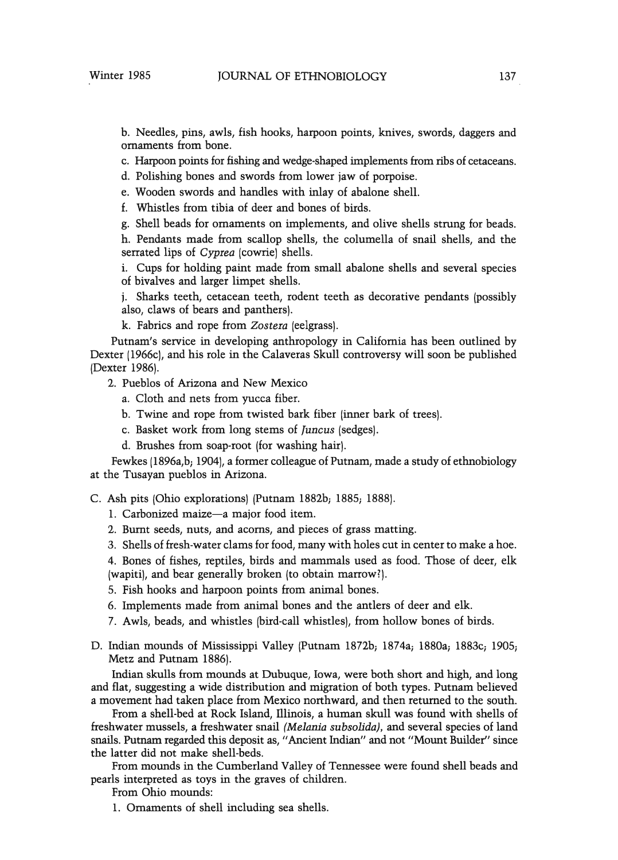b. Needles, pins, awls, fish hooks, harpoon points, knives, swords, daggers and ornaments from bone.

c. Harpoon points for fishing and wedge-shapedimplements from ribs of cetaceans.

d. Polishing bones and swords from lower jaw of porpoise.

e. Wooden swords and handles with inlay of abalone shell.

f. Whistles from tibia of deer and bones of birds.

g. Shell beads for ornaments on implements, and olive shells strung for beads.

h. Pendants made from scallop shells, the columella of snail shells, and the serrated lips of *Cyptea* (cowrie) shells.

i. Cups for holding paint made from small abalone shells and several species of bivalves and larger limpet shells.

j. Sharks teeth, cetacean teeth, rodent teeth as decorative pendants (possibly also, claws of bears and panthers).

k. Fabrics and rope from *Zostera* (eelgrass).

Putnam's service in developing anthropology in California has been outlined by Dexter (1966c), and his role in the Calaveras Skull controversy will soon be published (Dexter 1986).

- 2. Pueblos of Arizona and New Mexico
	- a. Cloth and nets from yucca fiber.
	- b. Twine and rope from twisted bark fiber (inner bark of trees).
	- c. Basket work from long stems of *[uncus* (sedges).
	- d. Brushes from soap-root (for washing hair).

Fewkes (1896a,b; 1904), a former colleague of Putnam, made a study of ethnobiology at the Tusayan pueblos in Arizona.

C. Ash pits (Ohio explorations) (Putnam 1882b; 1885; 1888).

1. Carbonized maize-a major food item.

- 2. Burnt seeds, nuts, and acorns, and pieces of grass matting.
- 3. Shells offresh-water clams for food, many with holes cut in center to make a hoe.

4. Bones of fishes, reptiles, birds and mammals used as food. Those of deer, elk (wapiti), and bear generally broken (to obtain marrow?).

5. Fish hooks and harpoon points from animal bones.

- 6. Implements made from animal bones and the antlers of deer and elk.
- 7. Awls, beads, and whistles (bird-call whistles), from hollow bones of birds.
- D. Indian mounds of Mississippi Valley (Putnam 1872b; 1874a; 1880a; 1883c; 1905; Metz and Putnam 1886).

Indian skulls from mounds at Dubuque, Iowa, were both short and high, and long and flat, suggesting a wide distribution and migration of both types. Putnam believed a movement had taken place from Mexico northward, and then returned to the south.

From a shell-bed at Rock Island, illinois, a human skull was found with shells of freshwater mussels, a freshwater snail *(Melania subsolida),* and several species of land snails. Putnam regarded this deposit as, "Ancient Indian" and not "Mount Builder" since the latter did not make shell-beds.

From mounds in the Cumberland Valley of Tennessee were found shell beads and pearls interpreted as toys in the graves of children.

From Ohio mounds:

1. Ornaments of shell including sea shells.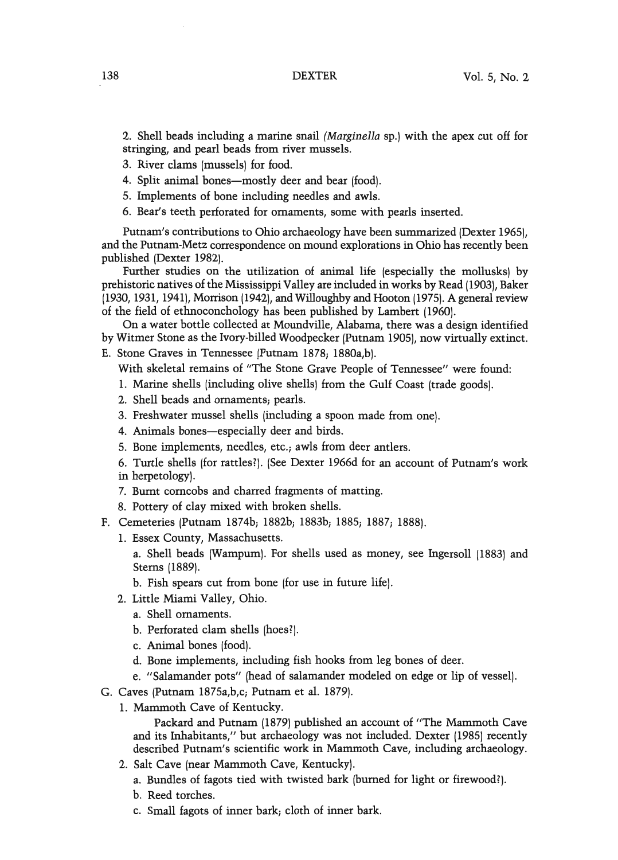2. Shell beads including a marine snail *(Marginella* sp.) with the apex cut off for stringing, and pearl beads from river mussels.

- 3. River clams (mussels) for food.
- 4. Split animal bones—mostly deer and bear (food).
- 5. Implements of bone including needles and awls.
- 6. Bear's teeth perforated for ornaments, some with pearls inserted.

Putnam's contributions to Ohio archaeology have been summarized (Dexter 1965), and the Putnam-Metz correspondence on mound explorations in Ohio has recently been published (Dexter 1982).

Further studies on the utilization of animal life (especially the mollusks) by prehistoric natives of the Mississippi Valley are included in works by Read (1903), Baker (1930, 1931, 1941), Morrison (1942), and Willoughby and Hooton (1975). A general review of the field of ethnoconchology has been published by Lambert (1960).

On a water bottle collected at Moundville, Alabama, there was a design identified by Witmer Stone as the Ivory-billed Woodpecker (Putnam 1905), now virtually extinct.

E. Stone Graves in Tennessee (Putnam 1878; 1880a,b).

With skeletal remains of "The Stone Grave People of Tennessee" were found:

- 1. Marine shells (including olive shells) from the Gulf Coast (trade goods).
- 2. Shell beads and ornaments; pearls.
- 3. Freshwater mussel shells (including a spoon made from one).
- 4. Animals bones-especially deer and birds.
- 5. Bone implements, needles, etc., awls from deer antlers.

6. Turtle shells (for rattles?). (See Dexter 1966d for an account of Putnam's work in herpetology).

- 7. Burnt corncobs and charred fragments of matting.
- 8. Pottery of clay mixed with broken shells.
- F. Cemeteries (Putnam 1874b; 1882b; 1883b; 1885; 1887; 1888).
	- 1. Essex County, Massachusetts.

a. Shell beads (Wampum). For shells used as money, see Ingersoll (1883) and Stems (1889).

b. Fish spears cut from bone (for use in future life).

- 2. Little Miami Valley, Ohio.
	- a. Shell ornaments.
	- b. Perforated clam shells (hoes?).
	- c. Animal bones (food).
	- d. Bone implements, including fish hooks from leg bones of deer.
	- e. "Salamander pots" (head of salamander modeled on edge or lip of vessel).
- G. Caves (Putnam 1875a,b,c; Putnam et al. 1879).
	- 1. Mammoth Cave of Kentucky.

Packard and Putnam (1879) published an account of "The Mammoth Cave and its Inhabitants," but archaeology was not included. Dexter (1985) recently described Putnam's scientific work in Mammoth Cave, including archaeology.

- 2. Salt Cave (near Mammoth Cave, Kentucky).
	- a. Bundles of fagots tied with twisted bark (burned for light or firewood?).
	- b. Reed torches.
	- c. Small fagots of inner bark; cloth of inner bark.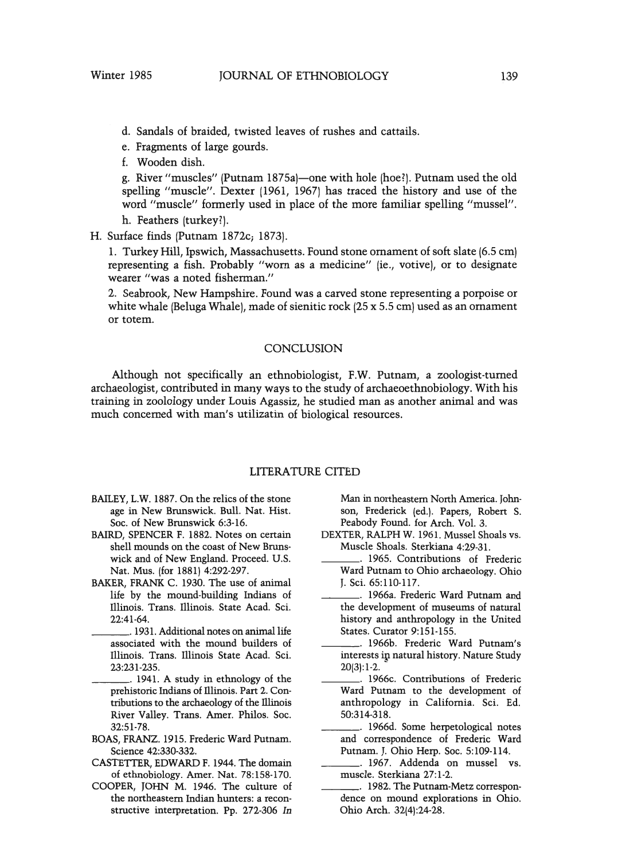- d. Sandals of braided, twisted leaves of rushes and cattails.
- e. Fragments of large gourds.
- f. Wooden dish.

g. River "muscles" (Putnam 1875a)-one with hole (hoe?). Putnam used the old spelling "muscle", Dexter (1961, 1967) has traced the history and use of the word "muscle" formerly used in place of the more familiar spelling "mussel".

h. Feathers (turkey?).

H. Surface finds (Putnam 1872c; 1873).

1. Turkey Hill, Ipswich, Massachusetts. Found stone ornament of soft slate (6.5 cm) representing a fish. Probably "worn as a medicine" (ie., votive), or to designate wearer "was a noted fisherman."

2. Seabrook, New Hampshire. Found was a carved stone representing a porpoise or white whale (Beluga Whale), made of sienitic rock  $(25 \times 5.5 \text{ cm})$  used as an ornament or totem.

#### **CONCLUSION**

Although not specifically an ethnobiologist, F.W. Putnam, a zoologist-turned archaeologist, contributed in many ways to the study of archaeoethnobiology. With his training in zoolology under Louis Agassiz, he studied man as another animal and was much concerned with man's utilizatin of biological resources.

#### LITERATURE CITED

- BAILEY, L.W. 1887. On the relics of the stone age in New Brunswick. Bull. Nat. Hist. Soc. of New Brunswick 6:3-16.
- BAIRD, SPENCER F. 1882. Notes on certain shell mounds on the coast of New Brunswick and of New England. Proceed. U.S. Nat. Mus. (for 1881) 4:292-297.
- BAKER, FRANK C. 1930. The use of animal life by the mound-building Indians of Illinois. Trans. Illinois. State Acad. Sci. 22:41-64.
- \_\_\_. 1931.Additional notes on animal life associated with the mound builders of Illinois. Trans. Illinois State Acad. Sci. 23:231-235.
- \_\_\_. 1941. A study in ethnology of the prehistoric Indians of Illinois, Part 2. Contributions to the archaeology of the illinois River Valley. Trans. Amer. Philos. Soc. 32:51-78.
- BOAS, FRANZ. 1915. Frederic Ward Putnam. Science 42:330-332.
- CASTETTER, EDWARD F. 1944. The domain of ethnobiology. Amer. Nat. 78:158-170.
- COOPER, JOHN M. 1946. The culture of the northeastern Indian hunters: a reconstructive interpretation. Pp. 272-306 In

Man in northeastern North America. Johnson, Frederick (ed.). Papers, Robert S. Peabody Found. for Arch. Vol. 3.

- DEXTER, RALPH W. 1961. Mussel Shoals vs. Muscle Shoals. Sterkiana 4:29-31.
- \_\_\_. 1965. Contributions of Frederic Ward Putnam to Ohio archaeology. Ohio J. Sci. 65:110-117.
- \_\_\_. 1966a. Frederic Ward Putnam and the development of museums of natural history and anthropology in the United States. Curator 9:151-155.
- \_\_\_. 1966b. Frederic Ward Putnam's interests ip natural history. Nature Study 20(3):1-2.
- \_\_\_. 1966c. Contributions of Frederic Ward Putnam to the development of anthropology in California. Sci. Ed. 50:314-318.
- \_\_\_. 1966d. Some herpetological notes and correspondence of Frederic Ward Putnam. J. Ohio Herp. Soc. 5:109-114.
- \_\_\_. 1967. Addenda on mussel vs. muscle. Sterkiana 27:1-2.
- \_\_\_. 1982. The Putnam-Metz correspondence on mound explorations in Ohio. Ohio Arch. 32(4):24-28.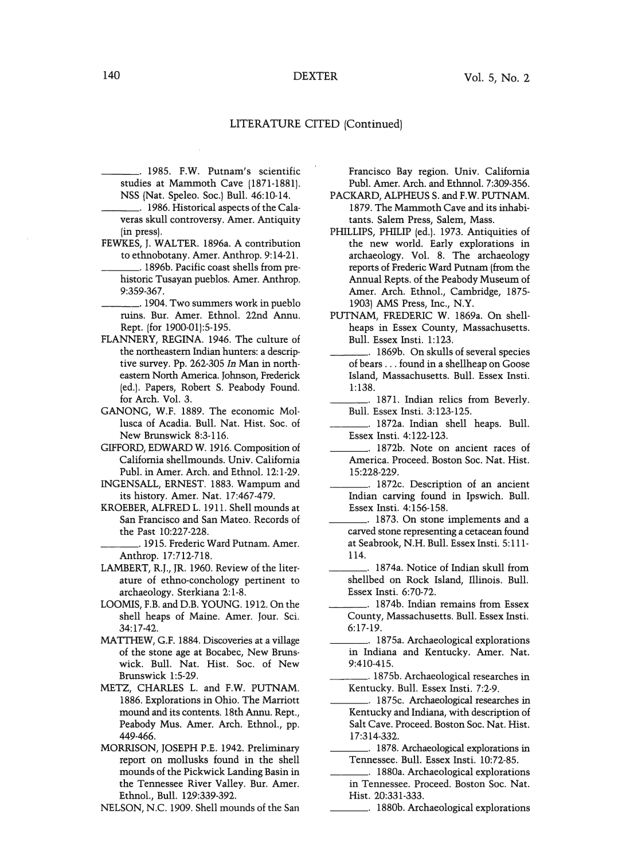### 140 DEXTER

#### LITERATURE CITED (Continued)

\_\_\_. 1985. F.W. Putnam's scientific studies at Mammoth Cave (1871-1881). NSS (Nat. Speleo. Soc.) Bull. 46:10-14.

- \_\_\_. 1986.Historical aspects of the Calaveras skull controversy. Amer. Antiquity (in press).
- FEWKES, J. WALTER. 1896a. A contribution to ethnobotany. Amer. Anthrop. 9:14-21.
- \_\_\_. 1896b. Pacific coast shells from prehistoric Tusayan pueblos. Amer. Anthrop. 9:359-367.
- \_\_\_. 1904. Two summers work in pueblo ruins. Bur. Amer. Ethnol. 22nd Annu. Rept. (for 1900-01):5-195.
- FLANNERY, REGINA. 1946. The culture of the northeastern Indian hunters: a descriptive survey. Pp. 262-305 *In* Man in northeastern North America. Johnson, Frederick (ed.). Papers, Robert S. Peabody Found. for Arch. Vol. 3.
- GANONG, W.F. 1889. The economic Mollusca of Acadia. Bull. Nat. Hist. Soc. of New Brunswick 8:3-116.
- GIFFORD, EDWARD W. 1916. Composition of California shellmounds. Univ. California Publ. in Amer. Arch. and Ethnol. 12:1-29.
- INGENSALL, ERNEST. 1883. Wampum and its history. Amer. Nat. 17:467-479.
- KROEBER, ALFREDL. 1911. Shell mounds at San Francisco and San Mateo. Records of the Past 10:227-228.

\_\_\_. 1915. Frederic Ward Putnam. Amer. Anthrop. 17:712-718.

- LAMBERT, R.J., JR. 1960. Review of the literature of ethno-conchology pertinent to archaeology. Sterkiana 2:1-8.
- LOOMIS,F.B. and D.B.YOUNG. 1912. On the shell heaps of Maine. Amer. Jour. Sci. 34:17-42.
- MATTHEW,G.F. 1884. Discoveries at a village of the stone age at Bocabec, New Brunswick. Bull. Nat. Hist. Soc. of New Brunswick 1:5-29.
- METZ, CHARLES L. and F.W. PUTNAM. 1886. Explorations in Ohio. The Marriott mound and its contents. 18th Annu. Rept., Peabody Mus. Amer. Arch. Ethnol., pp. 449-466.
- MORRISON, JOSEPH P.E. 1942. Preliminary report on mollusks found in the shell mounds of the Pickwick Landing Basin in the Tennessee River Valley. Bur. Amer. Ethnol., Bull. 129:339-392.
- NELSON, N.C. 1909. Shell mounds of the San

Francisco Bay region. Univ. California Publ. Amer. Arch. and Ethnnol. 7:309-356.

- PACKARD, ALPHEUS S. and F.W. PUTNAM. 1879. The Mammoth Cave and its inhabitants. Salem Press, Salem, Mass.
- PHILLIPS, PHILIP (ed.). 1973. Antiquities of the new world. Early explorations in archaeology. Vol. 8. The archaeology reports of Frederic Ward Putnam (from the Annual Repts. of the Peabody Museum of Amer. Arch. Ethnol., Cambridge, 1875- 1903) AMS Press, Inc., N.Y.
- PUTNAM, FREDERIC W. 1869a. On shellheaps in Essex County, Massachusetts. Bull. Essex Insti. 1:123.
- \_\_\_. 1869b. On skulls of several species of bears ... found in a shellheap on Goose Island, Massachusetts. Bull. Essex Insti. 1:138.
- 1871. Indian relics from Beverly. Bull. Essex Insti. 3:123-125.
- \_\_\_. 1872a. Indian shell heaps. Bull. Essex Insti. 4:122-123.
- \_\_\_. 1872b. Note on ancient races of America. Proceed. Boston Soc. Nat. Hist. 15:228-229.
- \_\_\_. 1872c. Description of an ancient Indian carving found in Ipswich. Bull. Essex Insti. 4:156-158.
- \_\_\_. 1873. On stone implements and a carved stone representing a cetacean found at Seabrook, N.H. Bull. Essex Insti. 5:111- 114.
- \_\_\_. 1874a. Notice of Indian skull from shellbed on Rock Island, Illinois. Bull. Essex Insti. 6:70-72.
- \_\_\_. 1874b. Indian remains from Essex County, Massachusetts. Bull. Essex Insti. 6:17-19.
- \_\_\_. 1875a. Archaeological explorations in Indiana and Kentucky. Amer. Nat. 9:410-415.
- \_\_\_. 1875b. Archaeological researches in Kentucky. Bull. Essex Insti. 7:2-9.
- \_\_\_. 1875c. Archaeological researches in Kentucky and Indiana, with description of Salt Cave. Proceed. Boston Soc. Nat. Hist. 17:314-332.
- \_\_\_. 1878.Archaeological explorations in Tennessee. Bull. Essex Insti. 10:72-85.
- \_\_\_. 1880a. Archaeological explorations in Tennessee. Proceed. Boston Soc. Nat. Hist. 20:331-333.
	- \_\_\_. 1880b. Archaeological explorations